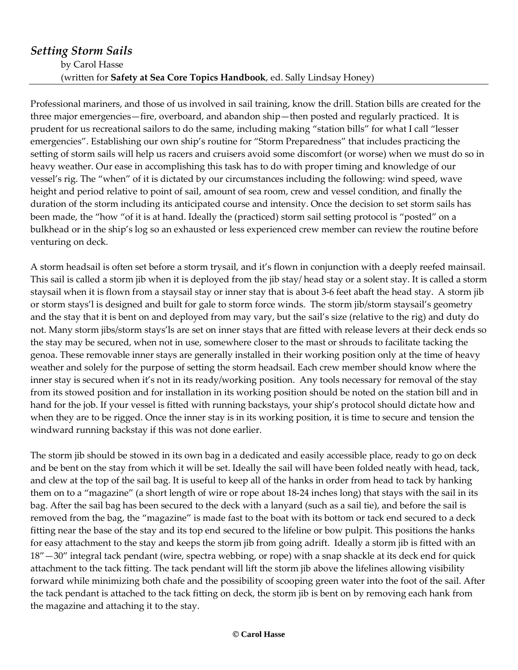## *Setting Storm Sails* by Carol Hasse (written for **Safety at Sea Core Topics Handbook**, ed. Sally Lindsay Honey)

Professional mariners, and those of us involved in sail training, know the drill. Station bills are created for the three major emergencies—fire, overboard, and abandon ship—then posted and regularly practiced. It is prudent for us recreational sailors to do the same, including making "station bills" for what I call "lesser emergencies". Establishing our own ship's routine for "Storm Preparedness" that includes practicing the setting of storm sails will help us racers and cruisers avoid some discomfort (or worse) when we must do so in heavy weather. Our ease in accomplishing this task has to do with proper timing and knowledge of our vessel's rig. The "when" of it is dictated by our circumstances including the following: wind speed, wave height and period relative to point of sail, amount of sea room, crew and vessel condition, and finally the duration of the storm including its anticipated course and intensity. Once the decision to set storm sails has been made, the "how "of it is at hand. Ideally the (practiced) storm sail setting protocol is "posted" on a bulkhead or in the ship's log so an exhausted or less experienced crew member can review the routine before venturing on deck.

A storm headsail is often set before a storm trysail, and it's flown in conjunction with a deeply reefed mainsail. This sail is called a storm jib when it is deployed from the jib stay/ head stay or a solent stay. It is called a storm staysail when it is flown from a staysail stay or inner stay that is about 3-6 feet abaft the head stay. A storm jib or storm stays'l is designed and built for gale to storm force winds. The storm jib/storm staysail's geometry and the stay that it is bent on and deployed from may vary, but the sail's size (relative to the rig) and duty do not. Many storm jibs/storm stays'ls are set on inner stays that are fitted with release levers at their deck ends so the stay may be secured, when not in use, somewhere closer to the mast or shrouds to facilitate tacking the genoa. These removable inner stays are generally installed in their working position only at the time of heavy weather and solely for the purpose of setting the storm headsail. Each crew member should know where the inner stay is secured when it's not in its ready/working position. Any tools necessary for removal of the stay from its stowed position and for installation in its working position should be noted on the station bill and in hand for the job. If your vessel is fitted with running backstays, your ship's protocol should dictate how and when they are to be rigged. Once the inner stay is in its working position, it is time to secure and tension the windward running backstay if this was not done earlier.

The storm jib should be stowed in its own bag in a dedicated and easily accessible place, ready to go on deck and be bent on the stay from which it will be set. Ideally the sail will have been folded neatly with head, tack, and clew at the top of the sail bag. It is useful to keep all of the hanks in order from head to tack by hanking them on to a "magazine" (a short length of wire or rope about 18-24 inches long) that stays with the sail in its bag. After the sail bag has been secured to the deck with a lanyard (such as a sail tie), and before the sail is removed from the bag, the "magazine" is made fast to the boat with its bottom or tack end secured to a deck fitting near the base of the stay and its top end secured to the lifeline or bow pulpit. This positions the hanks for easy attachment to the stay and keeps the storm jib from going adrift. Ideally a storm jib is fitted with an 18"—30" integral tack pendant (wire, spectra webbing, or rope) with a snap shackle at its deck end for quick attachment to the tack fitting. The tack pendant will lift the storm jib above the lifelines allowing visibility forward while minimizing both chafe and the possibility of scooping green water into the foot of the sail. After the tack pendant is attached to the tack fitting on deck, the storm jib is bent on by removing each hank from the magazine and attaching it to the stay.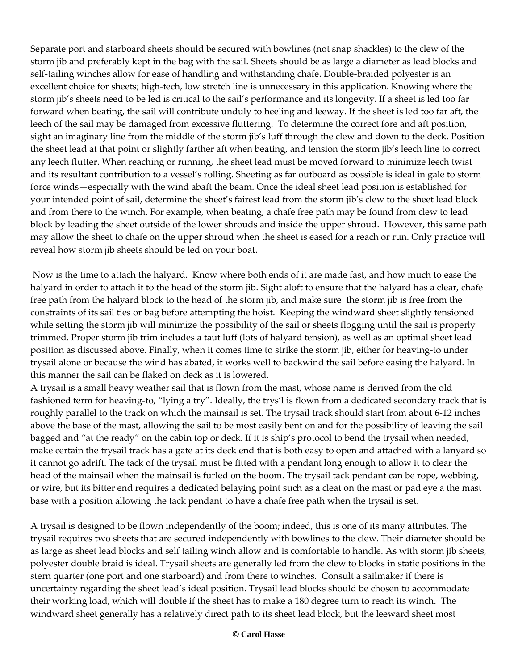Separate port and starboard sheets should be secured with bowlines (not snap shackles) to the clew of the storm jib and preferably kept in the bag with the sail. Sheets should be as large a diameter as lead blocks and self-tailing winches allow for ease of handling and withstanding chafe. Double-braided polyester is an excellent choice for sheets; high-tech, low stretch line is unnecessary in this application. Knowing where the storm jib's sheets need to be led is critical to the sail's performance and its longevity. If a sheet is led too far forward when beating, the sail will contribute unduly to heeling and leeway. If the sheet is led too far aft, the leech of the sail may be damaged from excessive fluttering. To determine the correct fore and aft position, sight an imaginary line from the middle of the storm jib's luff through the clew and down to the deck. Position the sheet lead at that point or slightly farther aft when beating, and tension the storm jib's leech line to correct any leech flutter. When reaching or running, the sheet lead must be moved forward to minimize leech twist and its resultant contribution to a vessel's rolling. Sheeting as far outboard as possible is ideal in gale to storm force winds—especially with the wind abaft the beam. Once the ideal sheet lead position is established for your intended point of sail, determine the sheet's fairest lead from the storm jib's clew to the sheet lead block and from there to the winch. For example, when beating, a chafe free path may be found from clew to lead block by leading the sheet outside of the lower shrouds and inside the upper shroud. However, this same path may allow the sheet to chafe on the upper shroud when the sheet is eased for a reach or run. Only practice will reveal how storm jib sheets should be led on your boat.

Now is the time to attach the halyard. Know where both ends of it are made fast, and how much to ease the halyard in order to attach it to the head of the storm jib. Sight aloft to ensure that the halyard has a clear, chafe free path from the halyard block to the head of the storm jib, and make sure the storm jib is free from the constraints of its sail ties or bag before attempting the hoist. Keeping the windward sheet slightly tensioned while setting the storm jib will minimize the possibility of the sail or sheets flogging until the sail is properly trimmed. Proper storm jib trim includes a taut luff (lots of halyard tension), as well as an optimal sheet lead position as discussed above. Finally, when it comes time to strike the storm jib, either for heaving-to under trysail alone or because the wind has abated, it works well to backwind the sail before easing the halyard. In this manner the sail can be flaked on deck as it is lowered.

A trysail is a small heavy weather sail that is flown from the mast, whose name is derived from the old fashioned term for heaving-to, "lying a try". Ideally, the trys'l is flown from a dedicated secondary track that is roughly parallel to the track on which the mainsail is set. The trysail track should start from about 6-12 inches above the base of the mast, allowing the sail to be most easily bent on and for the possibility of leaving the sail bagged and "at the ready" on the cabin top or deck. If it is ship's protocol to bend the trysail when needed, make certain the trysail track has a gate at its deck end that is both easy to open and attached with a lanyard so it cannot go adrift. The tack of the trysail must be fitted with a pendant long enough to allow it to clear the head of the mainsail when the mainsail is furled on the boom. The trysail tack pendant can be rope, webbing, or wire, but its bitter end requires a dedicated belaying point such as a cleat on the mast or pad eye a the mast base with a position allowing the tack pendant to have a chafe free path when the trysail is set.

A trysail is designed to be flown independently of the boom; indeed, this is one of its many attributes. The trysail requires two sheets that are secured independently with bowlines to the clew. Their diameter should be as large as sheet lead blocks and self tailing winch allow and is comfortable to handle. As with storm jib sheets, polyester double braid is ideal. Trysail sheets are generally led from the clew to blocks in static positions in the stern quarter (one port and one starboard) and from there to winches. Consult a sailmaker if there is uncertainty regarding the sheet lead's ideal position. Trysail lead blocks should be chosen to accommodate their working load, which will double if the sheet has to make a 180 degree turn to reach its winch. The windward sheet generally has a relatively direct path to its sheet lead block, but the leeward sheet most